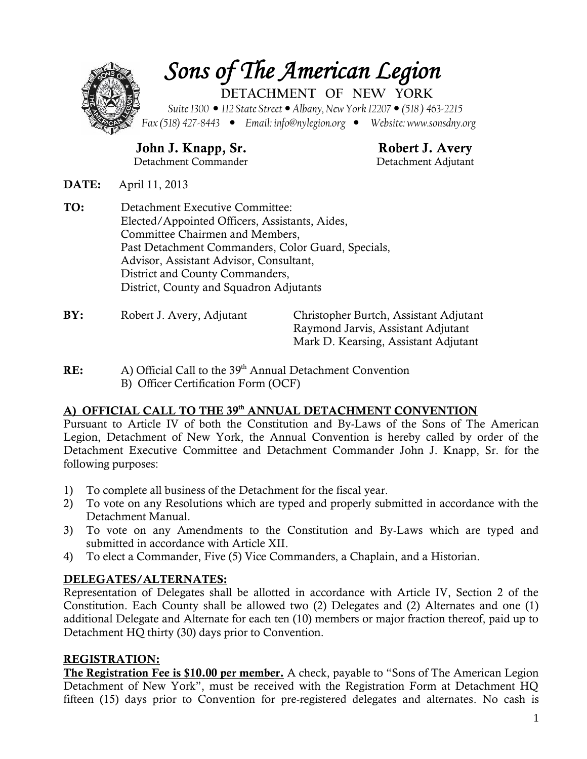

**John J. Knapp, Sr. Robert J. Avery** Detachment Commander Detachment Adjutant

**DATE:** April 11, 2013

- **TO:** Detachment Executive Committee: Elected/Appointed Officers, Assistants, Aides, Committee Chairmen and Members, Past Detachment Commanders, Color Guard, Specials, Advisor, Assistant Advisor, Consultant, District and County Commanders, District, County and Squadron Adjutants
- 

**BY:** Robert J. Avery, Adjutant Christopher Burtch, Assistant Adjutant Raymond Jarvis, Assistant Adjutant Mark D. Kearsing, Assistant Adjutant

**RE:** A) Official Call to the 39<sup>th</sup> Annual Detachment Convention B) Officer Certification Form (OCF)

#### **A) OFFICIAL CALL TO THE 39th ANNUAL DETACHMENT CONVENTION**

Pursuant to Article IV of both the Constitution and By-Laws of the Sons of The American Legion, Detachment of New York, the Annual Convention is hereby called by order of the Detachment Executive Committee and Detachment Commander John J. Knapp, Sr. for the following purposes:

- 1) To complete all business of the Detachment for the fiscal year.
- 2) To vote on any Resolutions which are typed and properly submitted in accordance with the Detachment Manual.
- 3) To vote on any Amendments to the Constitution and By-Laws which are typed and submitted in accordance with Article XII.
- 4) To elect a Commander, Five (5) Vice Commanders, a Chaplain, and a Historian.

#### **DELEGATES/ALTERNATES:**

Representation of Delegates shall be allotted in accordance with Article IV, Section 2 of the Constitution. Each County shall be allowed two (2) Delegates and (2) Alternates and one (1) additional Delegate and Alternate for each ten (10) members or major fraction thereof, paid up to Detachment HQ thirty (30) days prior to Convention.

#### **REGISTRATION:**

**The Registration Fee is \$10.00 per member.** A check, payable to "Sons of The American Legion Detachment of New York", must be received with the Registration Form at Detachment HQ fifteen (15) days prior to Convention for pre-registered delegates and alternates. No cash is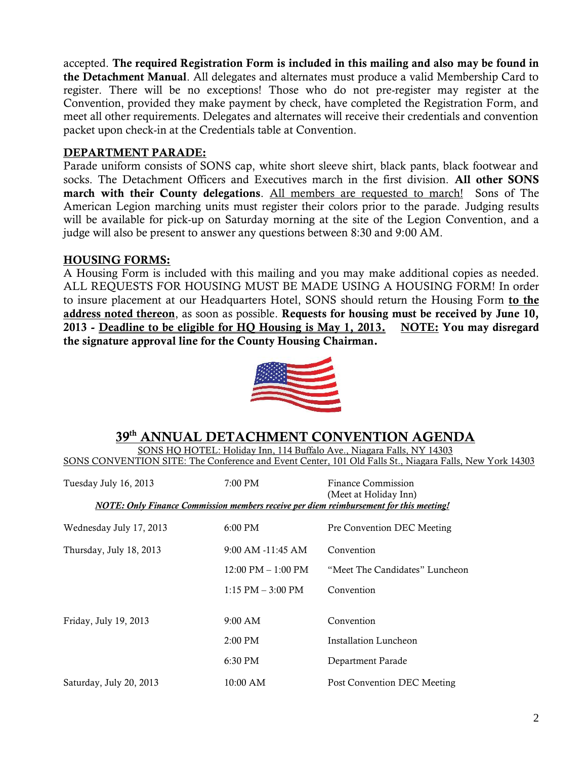accepted. **The required Registration Form is included in this mailing and also may be found in the Detachment Manual**. All delegates and alternates must produce a valid Membership Card to register. There will be no exceptions! Those who do not pre-register may register at the Convention, provided they make payment by check, have completed the Registration Form, and meet all other requirements. Delegates and alternates will receive their credentials and convention packet upon check-in at the Credentials table at Convention.

#### **DEPARTMENT PARADE:**

Parade uniform consists of SONS cap, white short sleeve shirt, black pants, black footwear and socks. The Detachment Officers and Executives march in the first division. **All other SONS march with their County delegations**. All members are requested to march! Sons of The American Legion marching units must register their colors prior to the parade. Judging results will be available for pick-up on Saturday morning at the site of the Legion Convention, and a judge will also be present to answer any questions between 8:30 and 9:00 AM.

#### **HOUSING FORMS:**

A Housing Form is included with this mailing and you may make additional copies as needed. ALL REQUESTS FOR HOUSING MUST BE MADE USING A HOUSING FORM! In order to insure placement at our Headquarters Hotel, SONS should return the Housing Form **to the address noted thereon**, as soon as possible. **Requests for housing must be received by June 10, 2013 - Deadline to be eligible for HQ Housing is May 1, 2013. NOTE: You may disregard the signature approval line for the County Housing Chairman.**



## **39 th ANNUAL DETACHMENT CONVENTION AGENDA**

SONS HQ HOTEL: Holiday Inn, 114 Buffalo Ave., Niagara Falls, NY 14303 SONS CONVENTION SITE: The Conference and Event Center, 101 Old Falls St., Niagara Falls, New York 14303

| Tuesday July 16, 2013<br>NOTE: Only Finance Commission members receive per diem reimbursement for this meeting! | 7:00 PM                              | Finance Commission<br>(Meet at Holiday Inn) |
|-----------------------------------------------------------------------------------------------------------------|--------------------------------------|---------------------------------------------|
|                                                                                                                 |                                      |                                             |
| Wednesday July 17, 2013                                                                                         | $6:00 \text{ PM}$                    | Pre Convention DEC Meeting                  |
| Thursday, July 18, 2013                                                                                         | $9:00$ AM $-11:45$ AM                | Convention                                  |
|                                                                                                                 | $12:00 \text{ PM} - 1:00 \text{ PM}$ | "Meet The Candidates" Luncheon              |
|                                                                                                                 | $1:15$ PM $-3:00$ PM                 | Convention                                  |
|                                                                                                                 |                                      |                                             |
| Friday, July 19, 2013                                                                                           | 9:00 AM                              | Convention                                  |
|                                                                                                                 | $2:00$ PM                            | Installation Luncheon                       |
|                                                                                                                 | $6:30$ PM                            | Department Parade                           |
| Saturday, July 20, 2013                                                                                         | $10:00$ AM                           | Post Convention DEC Meeting                 |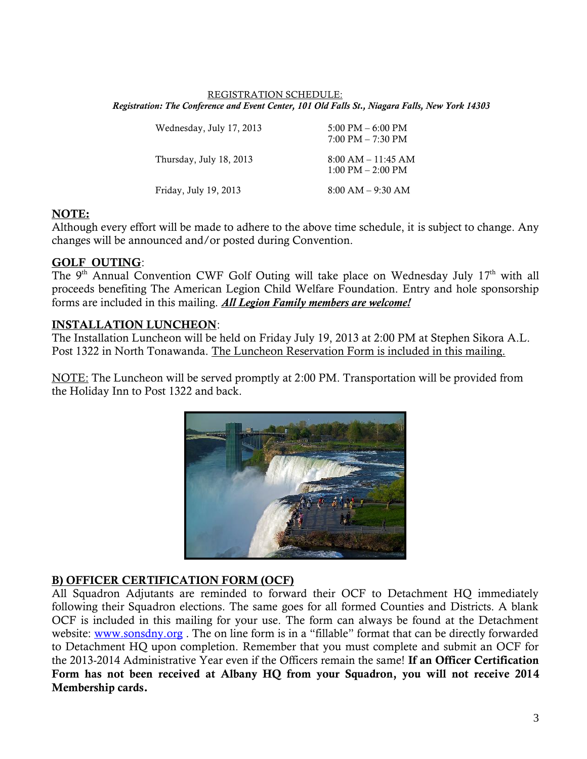#### REGISTRATION SCHEDULE: *Registration: The Conference and Event Center, 101 Old Falls St., Niagara Falls, New York 14303*

| Wednesday, July 17, 2013 | $5:00 \text{ PM} - 6:00 \text{ PM}$<br>$7:00 \text{ PM} - 7:30 \text{ PM}$ |
|--------------------------|----------------------------------------------------------------------------|
| Thursday, July 18, 2013  | $8:00$ AM $-11:45$ AM<br>$1:00 \text{ PM} - 2:00 \text{ PM}$               |
| Friday, July 19, 2013    | $8:00 AM - 9:30 AM$                                                        |

#### **NOTE:**

Although every effort will be made to adhere to the above time schedule, it is subject to change. Any changes will be announced and/or posted during Convention.

#### **GOLF OUTING**:

The 9<sup>th</sup> Annual Convention CWF Golf Outing will take place on Wednesday July 17<sup>th</sup> with all proceeds benefiting The American Legion Child Welfare Foundation. Entry and hole sponsorship forms are included in this mailing. *All Legion Family members are welcome!*

#### **INSTALLATION LUNCHEON**:

The Installation Luncheon will be held on Friday July 19, 2013 at 2:00 PM at Stephen Sikora A.L. Post 1322 in North Tonawanda. The Luncheon Reservation Form is included in this mailing.

NOTE: The Luncheon will be served promptly at 2:00 PM. Transportation will be provided from the Holiday Inn to Post 1322 and back.



#### **B) OFFICER CERTIFICATION FORM (OCF)**

All Squadron Adjutants are reminded to forward their OCF to Detachment HQ immediately following their Squadron elections. The same goes for all formed Counties and Districts. A blank OCF is included in this mailing for your use. The form can always be found at the Detachment website: www.sonsdny.org . The on line form is in a "fillable" format that can be directly forwarded to Detachment HQ upon completion. Remember that you must complete and submit an OCF for the 2013-2014 Administrative Year even if the Officers remain the same! **If an Officer Certification Form has not been received at Albany HQ from your Squadron, you will not receive 2014 Membership cards.**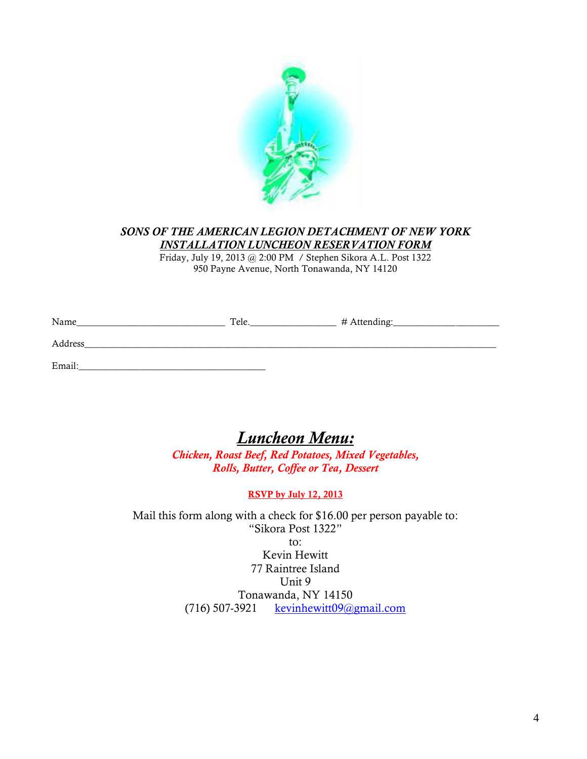

#### *SONS OF THE AMERICAN LEGION DETACHMENT OF NEW YORK INSTALLATION LUNCHEON RESERVATION FORM*

Friday, July 19, 2013 @ 2:00 PM / Stephen Sikora A.L. Post 1322 950 Payne Avenue, North Tonawanda, NY 14120

| Name    | Tele. | # Attending: |
|---------|-------|--------------|
| Address |       |              |
| Email:  |       |              |

## *Luncheon Menu:*

*Chicken, Roast Beef, Red Potatoes, Mixed Vegetables, Rolls, Butter, Coffee or Tea, Dessert*

#### **RSVP by July 12, 2013**

Mail this form along with a check for \$16.00 per person payable to: "Sikora Post 1322" to: Kevin Hewitt 77 Raintree Island Unit 9 Tonawanda, NY 14150 (716) 507-3921 kevinhewitt $09@gmail.com$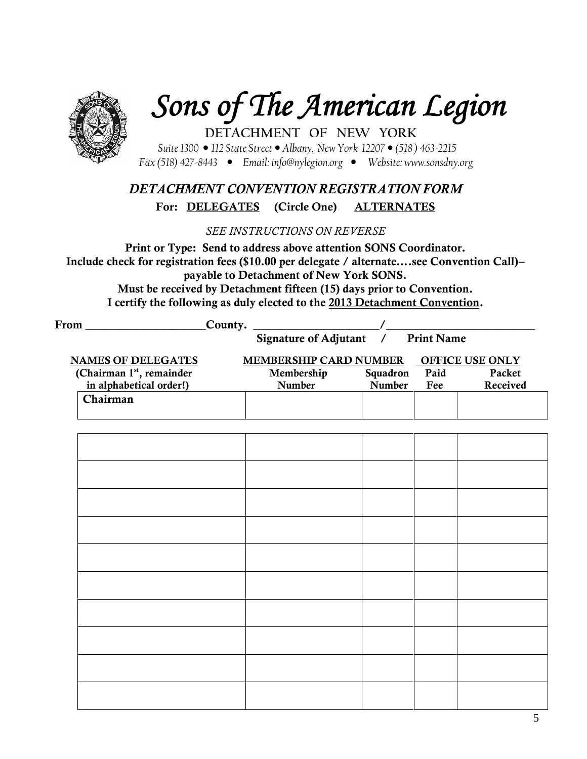

# *Sons of The American Legion*

**DETACHMENT OF NEW YORK** *Suite 1300 112 State Street Albany, New York 12207 (518 ) 463-2215 Fax (518) 427-8443 Email: info@nylegion.org Website: www.sonsdny.org*

## *DETACHMENT CONVENTION REGISTRATION FORM* **For: DELEGATES (Circle One) ALTERNATES**

*SEE INSTRUCTIONS ON REVERSE*

**Print or Type: Send to address above attention SONS Coordinator. Include check for registration fees (\$10.00 per delegate / alternate….see Convention Call)– payable to Detachment of New York SONS.**

**Must be received by Detachment fifteen (15) days prior to Convention. I certify the following as duly elected to the 2013 Detachment Convention.**

| From The Communication of the Communication of the Communication of the Communication of the Communication of the Communication of the Communication of the Communication of the Communication of the Communication of the Com | County. Signature of Adjutant / Print Name |                           |             |                    |
|--------------------------------------------------------------------------------------------------------------------------------------------------------------------------------------------------------------------------------|--------------------------------------------|---------------------------|-------------|--------------------|
| <b>NAMES OF DELEGATES</b>                                                                                                                                                                                                      | MEMBERSHIP CARD NUMBER OFFICE USE ONLY     |                           |             |                    |
| (Chairman 1st, remainder<br>in alphabetical order!)                                                                                                                                                                            | Membership<br>Number                       | Squadron<br><b>Number</b> | Paid<br>Fee | Packet<br>Received |
| Chairman                                                                                                                                                                                                                       |                                            |                           |             |                    |
|                                                                                                                                                                                                                                |                                            |                           |             |                    |
|                                                                                                                                                                                                                                |                                            |                           |             |                    |
|                                                                                                                                                                                                                                |                                            |                           |             |                    |
|                                                                                                                                                                                                                                |                                            |                           |             |                    |
|                                                                                                                                                                                                                                |                                            |                           |             |                    |
|                                                                                                                                                                                                                                |                                            |                           |             |                    |
|                                                                                                                                                                                                                                |                                            |                           |             |                    |
|                                                                                                                                                                                                                                |                                            |                           |             |                    |
|                                                                                                                                                                                                                                |                                            |                           |             |                    |
|                                                                                                                                                                                                                                |                                            |                           |             |                    |
|                                                                                                                                                                                                                                |                                            |                           |             |                    |
|                                                                                                                                                                                                                                |                                            |                           |             |                    |
|                                                                                                                                                                                                                                |                                            |                           |             |                    |
|                                                                                                                                                                                                                                |                                            |                           |             |                    |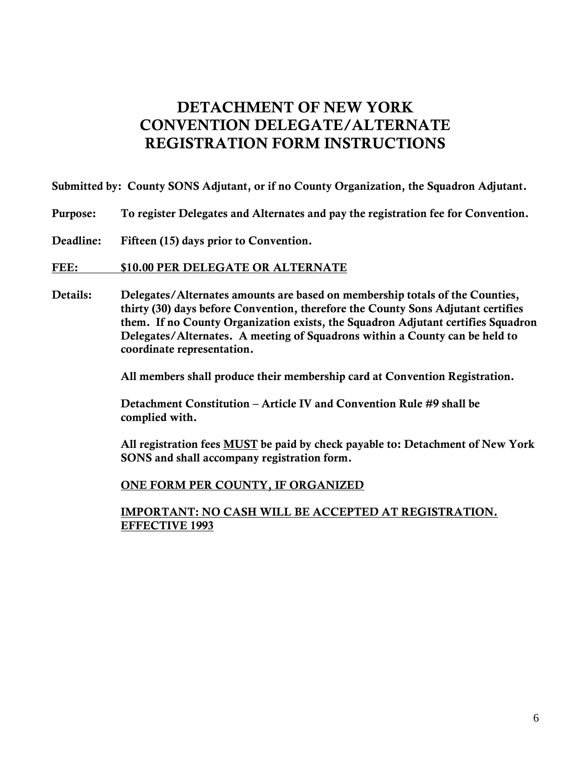## **DETACHMENT OF NEW YORK CONVENTION DELEGATE/ALTERNATE REGISTRATION FORM INSTRUCTIONS**

**Submitted by: County SONS Adjutant, or if no County Organization, the Squadron Adjutant.**

- **Purpose: To register Delegates and Alternates and pay the registration fee for Convention.**
- **Deadline: Fifteen (15) days prior to Convention.**

#### **FEE: \$10.00 PER DELEGATE OR ALTERNATE**

**Details: Delegates/Alternates amounts are based on membership totals of the Counties, thirty (30) days before Convention, therefore the County Sons Adjutant certifies them. If no County Organization exists, the Squadron Adjutant certifies Squadron Delegates/Alternates. A meeting of Squadrons within a County can be held to coordinate representation.**

**All members shall produce their membership card at Convention Registration.**

**Detachment Constitution – Article IV and Convention Rule #9 shall be complied with.**

**All registration fees MUST be paid by check payable to: Detachment of New York SONS and shall accompany registration form.**

#### **ONE FORM PER COUNTY, IF ORGANIZED**

**IMPORTANT: NO CASH WILL BE ACCEPTED AT REGISTRATION. EFFECTIVE 1993**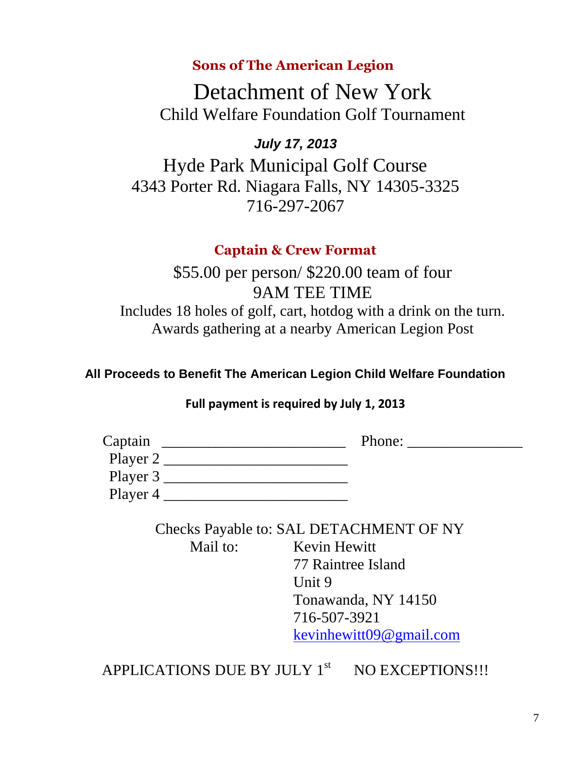## **Sons of The American Legion**

Detachment of New York Child Welfare Foundation Golf Tournament

## *July 17, 2013*

Hyde Park Municipal Golf Course 4343 Porter Rd. Niagara Falls, NY 14305-3325 716-297-2067

## **Captain & Crew Format**

\$55.00 per person/ \$220.00 team of four 9AM TEE TIME Includes 18 holes of golf, cart, hotdog with a drink on the turn. Awards gathering at a nearby American Legion Post

## **All Proceeds to Benefit The American Legion Child Welfare Foundation**

## **Full payment is required by July 1, 2013**

| Captain  | Phone: |
|----------|--------|
| Player 2 |        |
| Player 3 |        |
| Player 4 |        |

Checks Payable to: SAL DETACHMENT OF NY

Mail to: Kevin Hewitt

77 Raintree Island Unit 9 Tonawanda, NY 14150 716-507-3921 kevinhewitt09@gmail.com

APPLICATIONS DUE BY JULY  $1<sup>st</sup>$  NO EXCEPTIONS!!!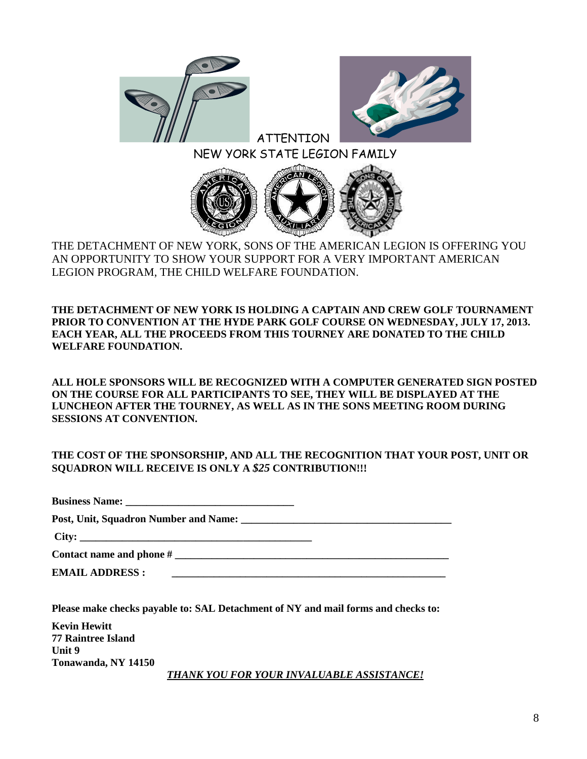



#### ATTENTION NEW YORK STATE LEGION FAMILY



THE DETACHMENT OF NEW YORK, SONS OF THE AMERICAN LEGION IS OFFERING YOU AN OPPORTUNITY TO SHOW YOUR SUPPORT FOR A VERY IMPORTANT AMERICAN LEGION PROGRAM, THE CHILD WELFARE FOUNDATION.

**THE DETACHMENT OF NEW YORK IS HOLDING A CAPTAIN AND CREW GOLF TOURNAMENT PRIOR TO CONVENTION AT THE HYDE PARK GOLF COURSE ON WEDNESDAY, JULY 17, 2013. EACH YEAR, ALL THE PROCEEDS FROM THIS TOURNEY ARE DONATED TO THE CHILD WELFARE FOUNDATION.**

**ALL HOLE SPONSORS WILL BE RECOGNIZED WITH A COMPUTER GENERATED SIGN POSTED ON THE COURSE FOR ALL PARTICIPANTS TO SEE, THEY WILL BE DISPLAYED AT THE LUNCHEON AFTER THE TOURNEY, AS WELL AS IN THE SONS MEETING ROOM DURING SESSIONS AT CONVENTION.**

#### **THE COST OF THE SPONSORSHIP, AND ALL THE RECOGNITION THAT YOUR POST, UNIT OR SQUADRON WILL RECEIVE IS ONLY A** *\$25* **CONTRIBUTION!!!**

**Business Name: \_\_\_\_\_\_\_\_\_\_\_\_\_\_\_\_\_\_\_\_\_\_\_\_\_\_\_\_\_\_\_\_**

**Post, Unit, Squadron Number and Name: \_\_\_\_\_\_\_\_\_\_\_\_\_\_\_\_\_\_\_\_\_\_\_\_\_\_\_\_\_\_\_\_\_\_\_\_\_\_\_\_**

**City: \_\_\_\_\_\_\_\_\_\_\_\_\_\_\_\_\_\_\_\_\_\_\_\_\_\_\_\_\_\_\_\_\_\_\_\_\_\_\_\_\_\_\_\_**

**Contact name and phone # \_\_\_\_\_\_\_\_\_\_\_\_\_\_\_\_\_\_\_\_\_\_\_\_\_\_\_\_\_\_\_\_\_\_\_\_\_\_\_\_\_\_\_\_\_\_\_\_\_\_\_\_**

**EMAIL ADDRESS :** 

**Please make checks payable to: SAL Detachment of NY and mail forms and checks to:**

| <b>Kevin Hewitt</b>       |                                           |
|---------------------------|-------------------------------------------|
| <b>77 Raintree Island</b> |                                           |
| Unit 9                    |                                           |
| Tonawanda, NY 14150       |                                           |
|                           | THANK YOU FOR YOUR INVALUABLE ASSISTANCE! |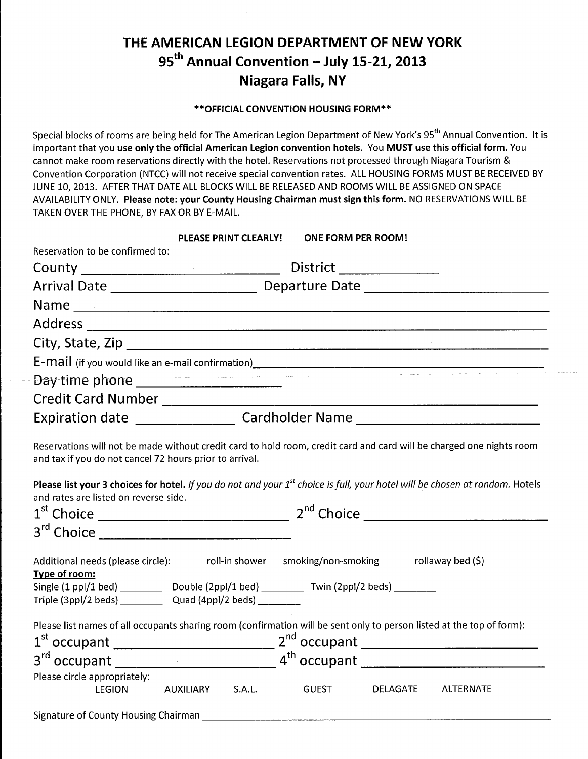## THE AMERICAN LEGION DEPARTMENT OF NEW YORK 95<sup>th</sup> Annual Convention - July 15-21, 2013 **Niagara Falls, NY**

\*\* OFFICIAL CONVENTION HOUSING FORM\*\*

Special blocks of rooms are being held for The American Legion Department of New York's 95<sup>th</sup> Annual Convention. It is important that you use only the official American Legion convention hotels. You MUST use this official form. You cannot make room reservations directly with the hotel. Reservations not processed through Niagara Tourism & Convention Corporation (NTCC) will not receive special convention rates. ALL HOUSING FORMS MUST BE RECEIVED BY JUNE 10, 2013. AFTER THAT DATE ALL BLOCKS WILL BE RELEASED AND ROOMS WILL BE ASSIGNED ON SPACE AVAILABILITY ONLY. Please note: your County Housing Chairman must sign this form. NO RESERVATIONS WILL BE TAKEN OVER THE PHONE, BY FAX OR BY E-MAIL.

|                                                                                                                                                                                                                                                                                           |                  | <b>PLEASE PRINT CLEARLY!</b> | <b>ONE FORM PER ROOM!</b> |          |           |
|-------------------------------------------------------------------------------------------------------------------------------------------------------------------------------------------------------------------------------------------------------------------------------------------|------------------|------------------------------|---------------------------|----------|-----------|
| Reservation to be confirmed to:                                                                                                                                                                                                                                                           |                  |                              |                           |          |           |
|                                                                                                                                                                                                                                                                                           |                  |                              | District _______________  |          |           |
|                                                                                                                                                                                                                                                                                           |                  |                              |                           |          |           |
|                                                                                                                                                                                                                                                                                           |                  |                              |                           |          |           |
|                                                                                                                                                                                                                                                                                           |                  |                              |                           |          |           |
|                                                                                                                                                                                                                                                                                           |                  |                              |                           |          |           |
|                                                                                                                                                                                                                                                                                           |                  |                              |                           |          |           |
| E-mail (if you would like an e-mail confirmation)<br>Day time phone                                                                                                                                                                                                                       |                  |                              |                           |          |           |
|                                                                                                                                                                                                                                                                                           |                  |                              |                           |          |           |
| Expiration date _______________________ Cardholder Name ________________________                                                                                                                                                                                                          |                  |                              |                           |          |           |
| Please list your 3 choices for hotel. If you do not and your $1^{st}$ choice is full, your hotel will be chosen at random. Hotels<br>and rates are listed on reverse side.                                                                                                                |                  |                              |                           |          |           |
| $3^{rd}$ Choice                                                                                                                                                                                                                                                                           |                  |                              |                           |          |           |
| Additional needs (please circle):<br>roll-in shower  smoking/non-smoking  rollaway bed (\$)<br>Type of room:<br>Single (1 ppl/1 bed) ___________ Double (2ppl/1 bed) _________ Twin (2ppl/2 beds) ________<br>Triple $(3ppl/2$ beds) $\qquad \qquad$ Quad $(4ppl/2$ beds) $\qquad \qquad$ |                  |                              |                           |          |           |
| Please list names of all occupants sharing room (confirmation will be sent only to person listed at the top of form):                                                                                                                                                                     |                  |                              |                           |          |           |
|                                                                                                                                                                                                                                                                                           |                  |                              |                           |          |           |
| Please circle appropriately:<br><b>LEGION</b>                                                                                                                                                                                                                                             | AUXILIARY S.A.L. |                              | <b>GUEST</b>              | DELAGATE | ALTERNATE |
|                                                                                                                                                                                                                                                                                           |                  |                              |                           |          |           |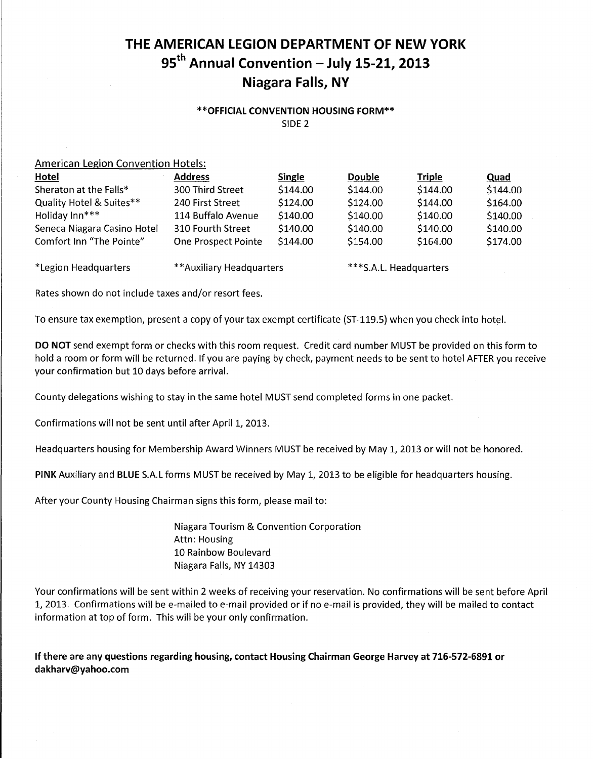## THE AMERICAN LEGION DEPARTMENT OF NEW YORK 95<sup>th</sup> Annual Convention - July 15-21, 2013 **Niagara Falls, NY**

#### \*\* OFFICIAL CONVENTION HOUSING FORM\*\* SIDF<sub>2</sub>

#### **American Legion Convention Hotels:**

| <b>Hotel</b>                | <b>Address</b>           | Single   | <b>Double</b>          | <b>Triple</b> | Quad     |
|-----------------------------|--------------------------|----------|------------------------|---------------|----------|
| Sheraton at the Falls*      | 300 Third Street         | \$144.00 | \$144.00               | \$144.00      | \$144.00 |
| Quality Hotel & Suites**    | 240 First Street         | \$124.00 | \$124.00               | \$144.00      | \$164.00 |
| Holiday Inn***              | 114 Buffalo Avenue       | \$140.00 | \$140.00               | \$140.00      | \$140.00 |
| Seneca Niagara Casino Hotel | 310 Fourth Street        | \$140.00 | \$140.00               | \$140.00      | \$140.00 |
| Comfort Inn "The Pointe"    | One Prospect Pointe      | \$144.00 | \$154.00               | \$164.00      | \$174.00 |
| *Legion Headquarters        | **Auxiliary Headquarters |          | ***S.A.L. Headquarters |               |          |

Rates shown do not include taxes and/or resort fees.

To ensure tax exemption, present a copy of your tax exempt certificate (ST-119.5) when you check into hotel.

DO NOT send exempt form or checks with this room request. Credit card number MUST be provided on this form to hold a room or form will be returned. If you are paying by check, payment needs to be sent to hotel AFTER you receive your confirmation but 10 days before arrival.

County delegations wishing to stay in the same hotel MUST send completed forms in one packet.

Confirmations will not be sent until after April 1, 2013.

Headquarters housing for Membership Award Winners MUST be received by May 1, 2013 or will not be honored.

PINK Auxiliary and BLUE S.A.L forms MUST be received by May 1, 2013 to be eligible for headquarters housing.

After your County Housing Chairman signs this form, please mail to:

**Niagara Tourism & Convention Corporation** Attn: Housing 10 Rainbow Boulevard Niagara Falls, NY 14303

Your confirmations will be sent within 2 weeks of receiving your reservation. No confirmations will be sent before April 1, 2013. Confirmations will be e-mailed to e-mail provided or if no e-mail is provided, they will be mailed to contact information at top of form. This will be your only confirmation.

If there are any questions regarding housing, contact Housing Chairman George Harvey at 716-572-6891 or dakharv@yahoo.com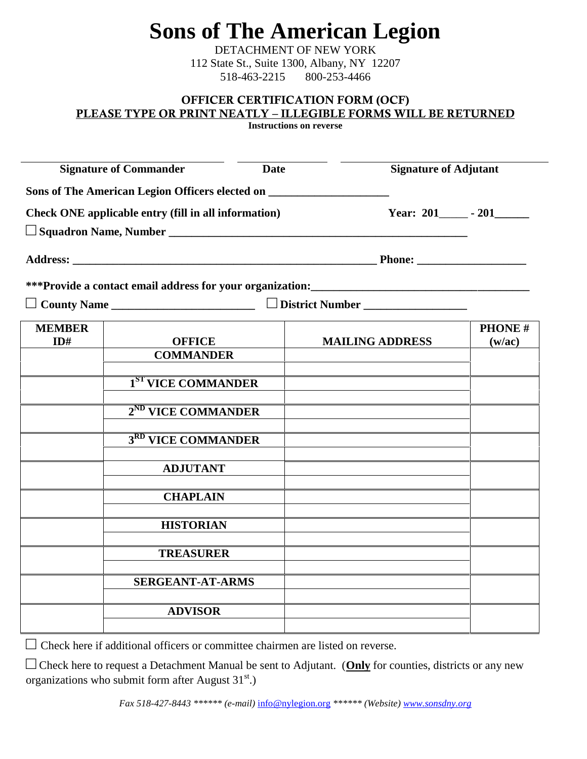# **Sons of The American Legion**

DETACHMENT OF NEW YORK 112 State St., Suite 1300, Albany, NY 12207 518-463-2215 800-253-4466

#### **OFFICER CERTIFICATION FORM (OCF) PLEASE TYPE OR PRINT NEATLY – ILLEGIBLE FORMS WILL BE RETURNED**

**Instructions on reverse**

|                      | <b>Signature of Commander</b>                                                     | <b>Date</b> | <b>Signature of Adjutant</b> |                         |
|----------------------|-----------------------------------------------------------------------------------|-------------|------------------------------|-------------------------|
|                      | Sons of The American Legion Officers elected on _________________________________ |             |                              |                         |
|                      | Check ONE applicable entry (fill in all information)                              |             |                              | Year: 201 - 201         |
|                      |                                                                                   |             |                              |                         |
|                      |                                                                                   |             |                              |                         |
|                      |                                                                                   |             |                              |                         |
|                      | County Name                                                                       |             | District Number              |                         |
| <b>MEMBER</b><br>ID# | <b>OFFICE</b>                                                                     |             | <b>MAILING ADDRESS</b>       | <b>PHONE#</b><br>(w/ac) |
|                      | <b>COMMANDER</b>                                                                  |             |                              |                         |
|                      | 1 <sup>ST</sup> VICE COMMANDER                                                    |             |                              |                         |
|                      | 2 <sup>ND</sup> VICE COMMANDER                                                    |             |                              |                         |
|                      | 3RD VICE COMMANDER                                                                |             |                              |                         |
|                      | <b>ADJUTANT</b>                                                                   |             |                              |                         |
|                      | <b>CHAPLAIN</b>                                                                   |             |                              |                         |
|                      | <b>HISTORIAN</b>                                                                  |             |                              |                         |
|                      | <b>TREASURER</b>                                                                  |             |                              |                         |
|                      | <b>SERGEANT-AT-ARMS</b>                                                           |             |                              |                         |
|                      | <b>ADVISOR</b>                                                                    |             |                              |                         |
|                      |                                                                                   |             |                              |                         |

Check here if additional officers or committee chairmen are listed on reverse.

Check here to request a Detachment Manual be sent to Adjutant. (**Only** for counties, districts or any new organizations who submit form after August  $31<sup>st</sup>$ .)